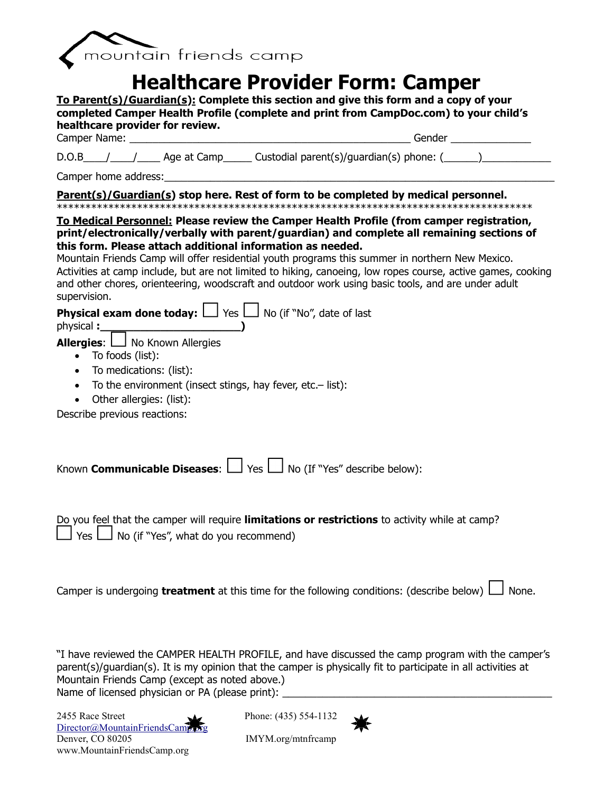

## **Healthcare Provider Form: Camper**

**To Parent(s)/Guardian(s): Complete this section and give this form and a copy of your completed Camper Health Profile (complete and print from CampDoc.com) to your child's healthcare provider for review.** Camper Name: <u>and the set of the set of the set of the set of the set of the set of the set of the set of the set of the set of the set of the set of the set of the set of the set of the set of the set of the set of the se</u>  $D.O.B$   $\qquad$  /  $\qquad$  Age at Camp  $\qquad$  Custodial parent(s)/guardian(s) phone: ( $\qquad$ Camper home address: **Parent(s)/Guardian(s) stop here. Rest of form to be completed by medical personnel.** \*\*\*\*\*\*\*\*\*\*\*\*\*\*\*\*\*\*\*\*\*\*\*\*\*\*\*\*\*\*\*\*\*\*\*\*\*\*\*\*\*\*\*\*\*\*\*\*\*\*\*\*\*\*\*\*\*\*\*\*\*\*\*\*\*\*\*\*\*\*\*\*\*\*\*\*\*\*\*\*\*\*\* **To Medical Personnel: Please review the Camper Health Profile (from camper registration, print/electronically/verbally with parent/guardian) and complete all remaining sections of this form. Please attach additional information as needed.** Mountain Friends Camp will offer residential youth programs this summer in northern New Mexico. Activities at camp include, but are not limited to hiking, canoeing, low ropes course, active games, cooking and other chores, orienteering, woodscraft and outdoor work using basic tools, and are under adult supervision. **Physical exam done today:**  $\Box$  Yes  $\Box$  No (if "No", date of last physical **:\_\_\_\_\_\_\_\_\_\_\_\_\_\_\_\_\_\_\_\_\_) Allergies:**  $\Box$  No Known Allergies To foods (list): • To medications: (list): To the environment (insect stings, hay fever, etc.– list): • Other allergies: (list):

Describe previous reactions:

Known **Communicable Diseases:**  $\Box$  Yes  $\Box$  No (If "Yes" describe below):

Do you feel that the camper will require **limitations or restrictions** to activity while at camp?  $\Box$  No (if "Yes", what do you recommend)

Camper is undergoing **treatment** at this time for the following conditions: (describe below)  $\Box$  None.

"I have reviewed the CAMPER HEALTH PROFILE, and have discussed the camp program with the camper's parent(s)/guardian(s). It is my opinion that the camper is physically fit to participate in all activities at Mountain Friends Camp (except as noted above.) Name of licensed physician or PA (please print):

2455 Race Street Phone: (435) 554-1132  $Director @ Mountain FriendsCam$ Denver, CO 80205 IMYM.org/mtnfrcamp www.MountainFriendsCamp.org